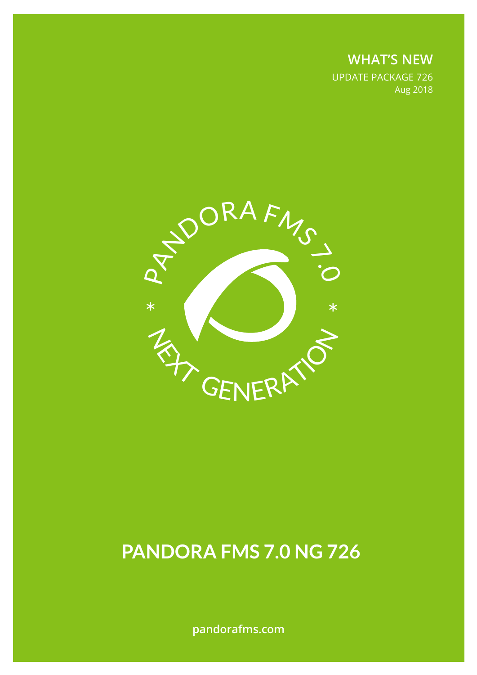**WHAT'S NEW** UPDATE PACKAGE 726 Aug 2018



# **PANDORA FMS 7.0 NG 726**

**pandorafms.com**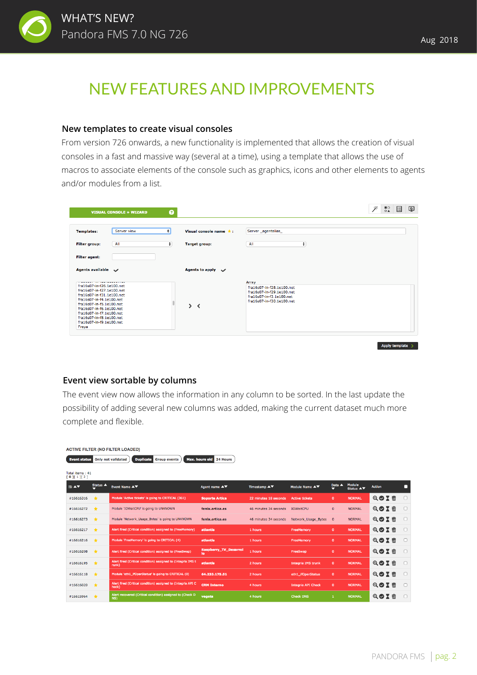

## NEW FEATURES AND IMPROVEMENTS

#### **New templates to create visual consoles**

From version 726 onwards, a new functionality is implemented that allows the creation of visual consoles in a fast and massive way (several at a time), using a template that allows the use of macros to associate elements of the console such as graphics, icons and other elements to agents and/or modules from a list.

| <b>VISUAL CONSOLE » WIZARD</b>                                                                                                                                                                                                                                       |                  | ๏          |                                                                                                                                 | 품요. | 圓 | டி |
|----------------------------------------------------------------------------------------------------------------------------------------------------------------------------------------------------------------------------------------------------------------------|------------------|------------|---------------------------------------------------------------------------------------------------------------------------------|-----|---|----|
| <b>Templates:</b>                                                                                                                                                                                                                                                    | Server view<br>٠ |            | Server _agentalias<br>Visual console name $\star$ :                                                                             |     |   |    |
| All<br><b>Filter group:</b>                                                                                                                                                                                                                                          |                  | $\ddagger$ | $\ddot{\phantom{1}}$<br>All<br><b>Target group:</b>                                                                             |     |   |    |
| <b>Filter agent:</b>                                                                                                                                                                                                                                                 |                  |            |                                                                                                                                 |     |   |    |
| Agents available $\sim$                                                                                                                                                                                                                                              |                  |            | Agents to apply $\sim$                                                                                                          |     |   |    |
| fra16s07-in-f26.1e100.net<br>fra16s07-in-f27.1e100.net<br>fra16s07-in-f31.1e100.net<br>fra16s07-in-f4.1e100.net<br>fra16s07-in-f5.1e100.net<br>fra16s07-in-f6.1e100.net<br>fra16s07-in-f7.1e100.net<br>fra16s07-in-f8.1e100.net<br>fra16s07-in-f9.1e100.net<br>Freya |                  |            | Array<br>fra16s07-in-f28.1e100.net<br>fra16s07-in-f29.1e100.net<br>fra16s07-in-f3.1e100.net<br>fra16s07-in-f30.1e100.net<br>> 1 |     |   |    |

Apply template >

#### **Event view sortable by columns**

**ACTIVE FILTER (NO FILTER LOADED)** 

The event view now allows the information in any column to be sorted. In the last update the possibility of adding several new columns was added, making the current dataset much more complete and flexible.

| <b>Duplicate</b><br>Max. hours old<br><b>Only not validated</b><br>24 Hours<br><b>Event status</b><br><b>Group events</b> |                 |                                                                       |                              |                       |                           |                            |                             |                 |        |  |  |  |  |
|---------------------------------------------------------------------------------------------------------------------------|-----------------|-----------------------------------------------------------------------|------------------------------|-----------------------|---------------------------|----------------------------|-----------------------------|-----------------|--------|--|--|--|--|
| Total items: 41<br>[0][1][2]                                                                                              |                 |                                                                       |                              |                       |                           |                            |                             |                 |        |  |  |  |  |
| ID $\blacktriangle$ $\blacktriangledown$                                                                                  | <b>Status ▲</b> | Event Name ▲▼                                                         | Agent name ▲▼                | Timestamp <b>A</b> ▼  | Module Name AV            | Data $\blacktriangle$<br>◡ | Module<br>Status <b>A</b> ▼ | <b>Action</b>   | П      |  |  |  |  |
| #16616316                                                                                                                 | $\rightarrow$   | Module 'Active tickets' is going to CRITICAL (361)                    | <b>Soporte Artica</b>        | 22 minutes 18 seconds | <b>Active tickets</b>     | $\mathbf{0}$               | <b>NORMAL</b>               | QOXm            | $\Box$ |  |  |  |  |
| #16616272                                                                                                                 | $\rightarrow$   | Module 'IOWaltCPU' is going to UNKNOWN                                | fenix.artica.es              | 46 minutes 34 seconds | <b>IOWaitCPU</b>          | $\mathbf{0}$               | <b>NORMAL</b>               | Q⊘∑ ѿ           | $\Box$ |  |  |  |  |
| #16616273                                                                                                                 | $\rightarrow$   | Module 'Network_Usage_Bytes' is going to UNKNOWN                      | fenix.artica.es              | 46 minutes 34 seconds | Network Usage Bytes       | $\mathbf{0}$               | <b>NORMAL</b>               | QØX m           | $\Box$ |  |  |  |  |
| #16616217                                                                                                                 | $\rightarrow$   | Alert fired (Critical condition) assigned to (FreeMemory)             | atlantis                     | 1 hours               | <b>FreeMemory</b>         | $\mathbf{0}$               | <b>NORMAL</b>               | QOXm            | $\Box$ |  |  |  |  |
| #16616216                                                                                                                 | $\star$         | Module 'FreeMemory' is going to CRITICAL (4)                          | atlantis                     | 1 hours               | <b>FreeMemory</b>         | $\mathbf{0}$               | <b>NORMAL</b>               | $QQX$ $\vec{w}$ | $\Box$ |  |  |  |  |
| #16616208                                                                                                                 | $\star$         | Alert fired (Critical condition) assigned to (FreeSwap)               | Raspberry_TV_Desarrol<br>lo. | 1 hours               | FreeSwap                  | $\mathbf{0}$               | <b>NORMAL</b>               | QOXT            | $\Box$ |  |  |  |  |
| #16616195                                                                                                                 | $\star$         | Alert fired (Critical condition) assigned to (Integria IMS t<br>runk) | atlantis                     | 2 hours               | <b>Integria IMS trunk</b> | $\Omega$                   | <b>NORMAL</b>               | QOXT            | $\Box$ |  |  |  |  |
| #16616118                                                                                                                 | $\star$         | Module 'eth1_ifOperStatus' is going to CRITICAL (0)                   | 64.233.175.51                | 2 hours               | eth1_ifOperStatus         | $\mathbf{0}$               | <b>NORMAL</b>               | QOX m           | $\Box$ |  |  |  |  |
| #16616020                                                                                                                 | $\star$         | Alert fired (Critical condition) assigned to (Integria API C<br>heck) | <b>CRM Interno</b>           | 4 hours               | <b>Integria API Check</b> | $\mathbf{0}$               | <b>NORMAL</b>               | QOX m           | $\Box$ |  |  |  |  |
| #16615964                                                                                                                 | 大               | Alert recovered (Critical condition) assigned to (Check D<br>NS)      | vegeta                       | 4 hours               | <b>Check DNS</b>          |                            | <b>NORMAL</b>               | 而<br>$Q$ $Q$ X  |        |  |  |  |  |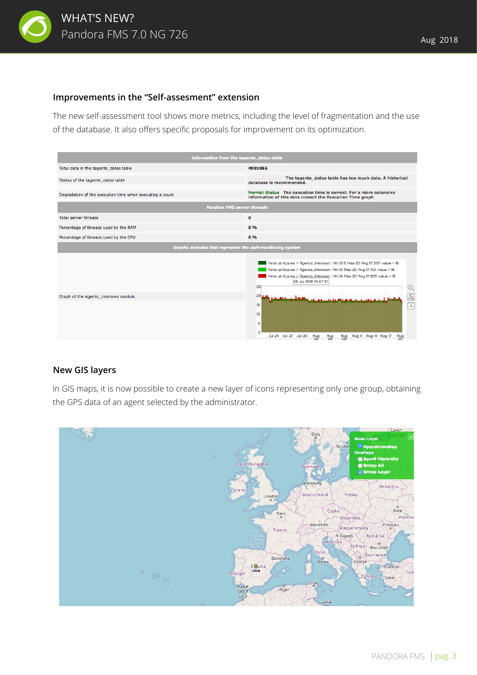

#### **Improvements in the "Self-assesment" extension**

The new self-assessment tool shows more metrics, including the level of fragmentation and the use of the database. It also offers specific proposals for improvement on its optimization.



#### **New GIS layers**

In GIS maps, it is now possible to create a new layer of icons representing only one group, obtaining the GPS data of an agent selected by the administrator.

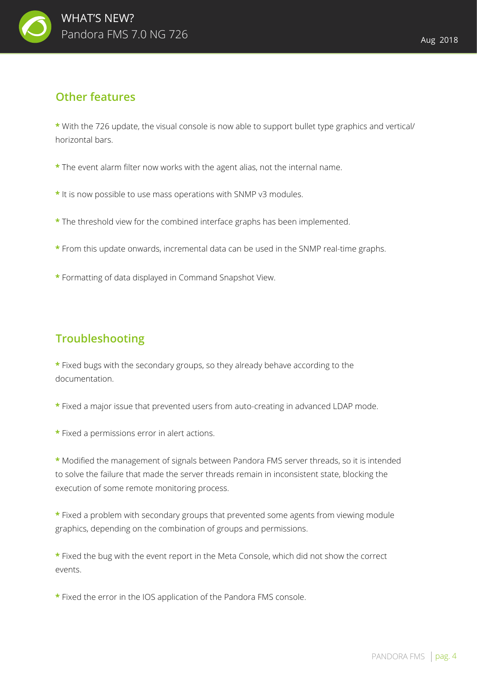

### **Other features**

**\*** With the 726 update, the visual console is now able to support bullet type graphics and vertical/ horizontal bars.

- **\*** The event alarm filter now works with the agent alias, not the internal name.
- **\*** It is now possible to use mass operations with SNMP v3 modules.
- **\*** The threshold view for the combined interface graphs has been implemented.
- **\*** From this update onwards, incremental data can be used in the SNMP real-time graphs.
- **\*** Formatting of data displayed in Command Snapshot View.

## **Troubleshooting**

**\*** Fixed bugs with the secondary groups, so they already behave according to the documentation.

- **\*** Fixed a major issue that prevented users from auto-creating in advanced LDAP mode.
- **\*** Fixed a permissions error in alert actions.

**\*** Modified the management of signals between Pandora FMS server threads, so it is intended to solve the failure that made the server threads remain in inconsistent state, blocking the execution of some remote monitoring process.

**\*** Fixed a problem with secondary groups that prevented some agents from viewing module graphics, depending on the combination of groups and permissions.

**\*** Fixed the bug with the event report in the Meta Console, which did not show the correct events.

**\*** Fixed the error in the IOS application of the Pandora FMS console.